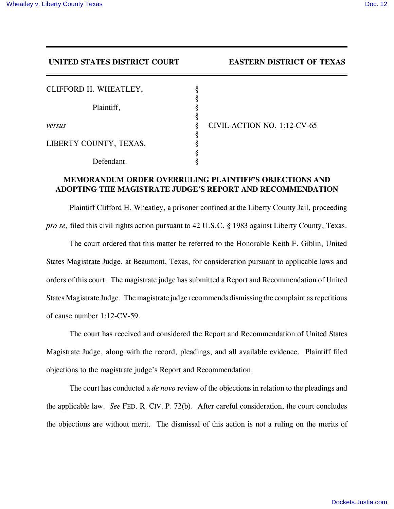**UNITED STATES DISTRICT COURT EASTERN DISTRICT OF TEXAS**

| CLIFFORD H. WHEATLEY,  |   |              |
|------------------------|---|--------------|
|                        |   |              |
| Plaintiff,             |   |              |
|                        |   |              |
| versus                 | 8 | <b>CIVIL</b> |
|                        | 8 |              |
| LIBERTY COUNTY, TEXAS, |   |              |
|                        |   |              |
| Defendant.             |   |              |

**ACTION NO. 1:12-CV-65** 

## **MEMORANDUM ORDER OVERRULING PLAINTIFF'S OBJECTIONS AND ADOPTING THE MAGISTRATE JUDGE'S REPORT AND RECOMMENDATION**

Plaintiff Clifford H. Wheatley, a prisoner confined at the Liberty County Jail, proceeding *pro se,* filed this civil rights action pursuant to 42 U.S.C. § 1983 against Liberty County, Texas.

The court ordered that this matter be referred to the Honorable Keith F. Giblin, United States Magistrate Judge, at Beaumont, Texas, for consideration pursuant to applicable laws and orders of this court. The magistrate judge has submitted a Report and Recommendation of United States Magistrate Judge. The magistrate judge recommends dismissing the complaint as repetitious of cause number 1:12-CV-59.

The court has received and considered the Report and Recommendation of United States Magistrate Judge, along with the record, pleadings, and all available evidence. Plaintiff filed objections to the magistrate judge's Report and Recommendation.

The court has conducted a *de novo* review of the objections in relation to the pleadings and the applicable law. *See* FED. R. CIV. P. 72(b). After careful consideration, the court concludes the objections are without merit. The dismissal of this action is not a ruling on the merits of